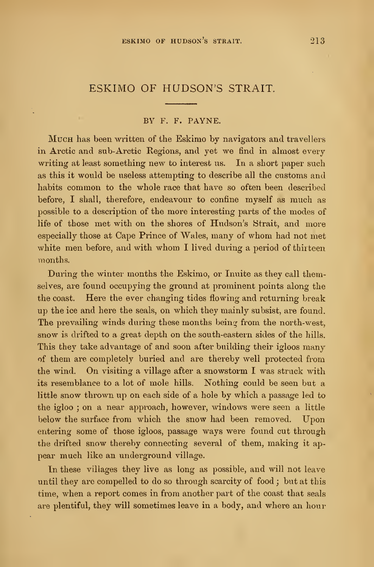# ESKIMO OF HUDSON'S STRAIT.

#### BY F. F. PAYNE.

Much has been written of the Eskimo by navigators and travellers in Arctic and sub-Arctic Regions, and yet we find in almost every writing at least something new to interest ns. In a short paper such as this it would be useless attempting to describe all the customs and habits common to the whole race that have so often been described before, I shall, therefore, endeavour to confine myself as much as possible to a description of the more interesting parts of the modes of life of those met with on the shores of Hudson's Strait, and more especially those at Cape Prince of Wales, many of whom had not met white men before, and with whom I lived during a period of thirteen months.

During the winter months the Eskimo, or Inuite as they call themselves, are found occupying the ground at prominent points along the the coast. Here the ever changing tides flowing and returning break up the ice and here the seals, on which they mainly subsist, are found. The prevailing winds during these months being from the north-west, snow is drifted to a great depth on the south-eastern sides of the hills. This they take advantage of and soon after building their igloos many of them are completely buried and are thereby well protected from the wind. On visiting <sup>a</sup> village after <sup>a</sup> snowstorm <sup>I</sup> was struck with its resemblance to a lot of mole hills. Nothing could be seen but a little snow thrown up on each side of a hole by which a passage led to the igloo ; on a near approach, however, windows were seen a little below the surface from which the snow had been removed. Upon entering some of those igloos, passage ways were found cut through the drifted snow thereby connecting several of them, making it ap pear much like an underground village.

In these villages they live as long as possible, and will not leave until they are compelled to do so through scarcity of food ; but at this time, when a report comes in from another part of the coast that seals are plentiful, they will sometimes leave in a body, and where an hour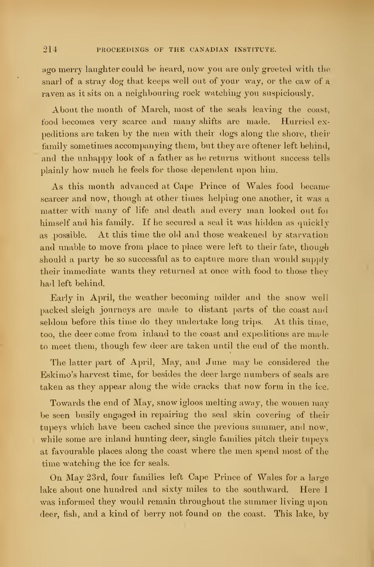ago merry laughter could be heard, now you are only greeted with the snarl of a stray dog that keeps well out of your way, or the caw of a raven as it sits on a neighbouring rock watching you suspiciously.

About the month of March, most of the seals leaving the coast, food becomes very scarce and many shifts are made. Hurried expeditions are taken by the men with their dogs along the shore, their family sometimes accompanying them, but they are oftener left behind, and the unhappy look of a father as he returns without success tells plainly how much he feels for those dependent upon him.

As this month advanced at Cape Prince of Wales food became scarcer and now, though at other times helping one another, it was a matter with many of life and death and every man looked out for himself and his family. If he secured a seal it was hidden as quickly as possible. At this time the old and those weakened by starvation and unable to move from place to place were left to their fate, though should a party be so successful as to capture more than would supply their immediate wants they returned at once with food to those they had left behind.

Early in April, the weather becoming milder and the snow well packed sleigh journeys are made to distant parts of the coast and seldom before this time do they undertake long trips. At this time, too, the deer come from inland to the coast and expeditions are made to meet them, though few deer are taken until the end of the month.

The latter part of April, May, and June may be considered the Eskimo's harvest time, for besides the deer large numbers of seals are taken as they appear along the wide cracks that now form in the ice.

Towards the end of May, snow igloos melting away, the women may be seen busily engaged in repairing the seal skin covering of their tupeys which have been cached since the previous summer, and now, while some are inland hunting deer, single families pitch their tupeys at favourable places along the coast where the men spend most of the time watching the ice for seals.

On May 23rd, four families left Cape Prince of Wales for a large lake about one hundred and sixty miles to the southward. Here I was informed they would remain throughout the summer living upon deer, fish, and a kind of berry not found on the coast. This lake, by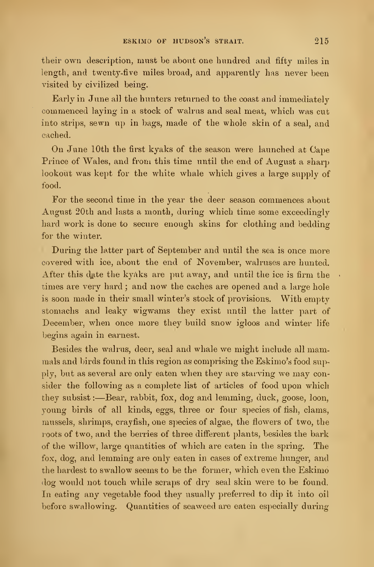their own description, must be about one hundred and fifty miles in length, and twenty-five miles broad, and apparently has never been visited by civilized being.

Early in June all the hunters returned to the coast and immediately commenced laying in a stock of walrus and seal meat, which was cut into strips, sewn up in bags, made of the whole skin of a seal, and cached.

On June 10th the first kyaks of the season were launched at Cape Prince of Wales, and from this time until the end of August a sharp lookout was kept for the white whale which gives a large supply of food.

For the second time in the year the deer season commences about August 20th and lasts a month, during which time some exceedingly hard work is done to secure enough skins for clothing and bedding for the winter.

During the latter part of September and until the sea is once more covered with ice, about the end of November, walruses are hunted. After this date the kyaks are put away, and until the ice is firm the  $\ddot{\phantom{a}}$ times are very hard; and now the caches are opened and a large hole is soon made in their small winter's stock of provisions. With empty stomachs and leaky wigwams they exist until the latter part of December, when once more they build snow igloos and winter life begins again in earnest.

Besides the walrus, deer, seal and whale we might include all mammals and birds found in this region as comprising the Eskimo's food supply, but as several are only eaten when they are starving we may consider the following as a complete list of articles of food upon which they subsist :—Bear, rabbit, fox, dog and lemming, duck, goose, loon, young birds of all kinds, eggs, three or four species of fish, clams, mussels, shrimps, crayfish, one species of algae, the flowers of two, the roots of two, and the berries of three different plants, besides the bark of the willow, large quantities of which are eaten in the spring. The fox, dog, and lemming are only eaten in cases of extreme hunger, and the hardest to swallow seems to be the former, which even the Eskimo dog would not touch while scraps of dry seal skin were to be found. In eating any vegetable food they usually preferred to dip it into oil before swallowing. Quantities of seaweed are eaten especially during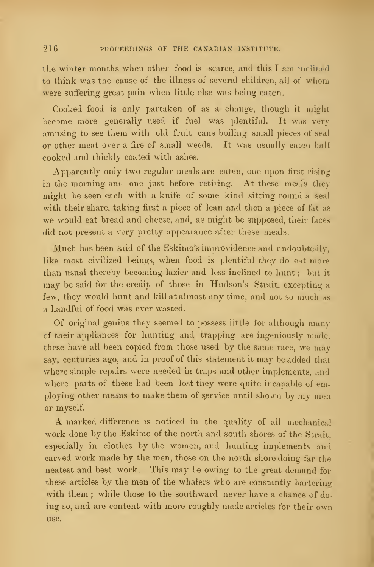the winter months when other food is scarce, and this <sup>I</sup> am inclined to think was the cause of the illness of several children, all of whom were suffering great pain when little else was being eaten.

Cooked food is only partaken of as a change, though it might become more generally used if fuel was plentiful. It was very amusing to see them with old fruit cans boiling small pieces of seal or other meat over a fire of small weeds. It was usually eaten half cooked and thickly coated with ashes.

Apparently only two regular meals are eaten, one upon first rising in the morning and one just before retiring. At these meals they might be seen each with a knife of some kind sitting round a seal with their share, taking first a piece of lean and then a piece of fat as we would eat bread and cheese, and, as might be supposed, their faces did not present a very pretty appearance after these meals.

Much has been said of the Eskimo's improvidence and undoubtedly, like most civilized beings, when food is plentiful they do eat more than usual thereby becoming lazier and less inclined to hunt ; but it may be said for the credit of those in Hudson's Strait, excepting a few, they would hunt and kill at almost any time, and not so much as a handful of food was ever wasted.

Of original genius they seemed to possess little for although many of their appliances for hunting and trapping are ingeniously made, these have all been copied from those used by the same race, we may say, centuries ago, and in proof of this statement it may be added that where simple repairs were needed in traps and other implements, and where parts of these had been lost they were quite incapable of employing other means to make them of service until shown by my men or myself.

A marked difference is noticed in the quality of all mechanical work done by the Eskimo of the north and south shores of the Strait. especially in clothes by the women, and hunting implements and carved work made by the men, those on the north shore doing far the neatest and best work. This may be owing to the great demand for these articles by the men of the whalers who are constantly bartering with them; while those to the southward never have a chance of doing so, and are content with more roughly made articles for their own use.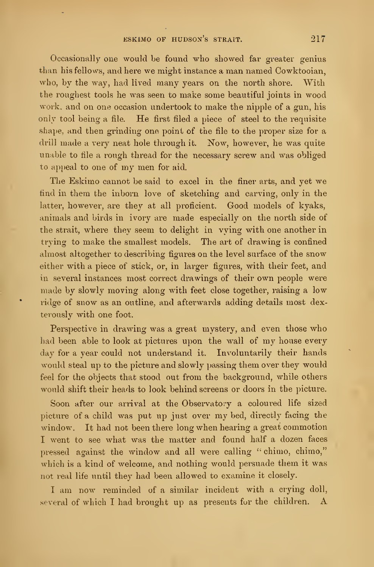Occasionally one would be found who showed far greater genius than his fellows, and here we might instance <sup>a</sup> man named Cowktooian, who, by the way, had lived many years on the north shore. With the roughest tools he was seen to make some beautiful joints in wood work, and on one occasion undertook to make the nipple of a gun, his only tool being a file. He first filed a piece of steel to the requisite shape, and then grinding one point of the file to the proper size for a drill made a very neat hole through it. Now, however, he was quite unable to file a rough thread for the necessary screw and was obliged to appeal to one of my men for aid.

The Eskimo cannot be said to excel in the finer arts, and yet we find in them the inborn love of sketching and carving, only in the latter, however, are they at all proficient. Good models of kyaks, animals and birds in ivory are made especially on the north side of the strait, where they seem to delight in vying with one another in trying to make the smallest models. The art of drawing is confined almost altogether to describing figures on the level surface of the snow either with a piece of stick, or, in larger figures, with their feet, and in several instances most correct drawings of their own people were made by slowly moving along with feet close together, raising a low ridge of snow as an outline, and afterwards adding details most dexterously with one foot.

Perspective in drawing was a great mystery, and even those who had been able to look at pictures upon the wall of my house every day for a year could not understand it. Involuntarily their hands would steal up to the picture and slowly passing them over they would feel for the objects that stood out from the background, while others would shift their heads to look behind screens or doors in the picture.

Soon after our arrival at the Observatory a coloured life sized picture of <sup>a</sup> child was put up just over my bed, directly facing the window. It had not been there long when hearing a great commotion I went to see what was the matter and found half a dozen faces pressed against the window and all were calling " chimo, chimo," which is a kind of welcome, and nothing would persuade them it was not real life until they had been allowed to examine it closely.

<sup>I</sup> am now reminded of a similar incident with a crying doll, several of which I had brought up as presents for the children. A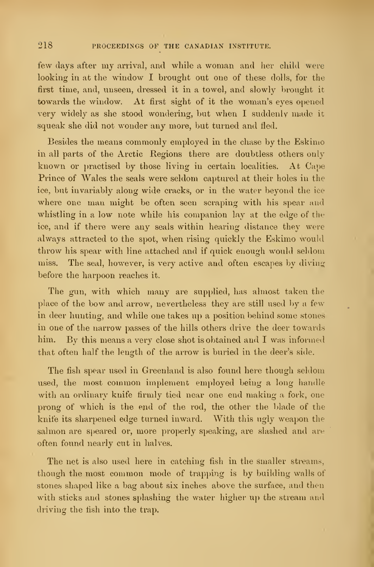few days after my arrival, and while a woman and her child were looking in at the window I brought out one of these dolls, for the first time, and, unseen, dressed it in a towel, and slowly brought it towards the window. At first sight of it the woman's eyes opened very widely as she stood wondering, but when I suddenly made it squeak she did not wonder any more, but turned and fled.

Besides the means commonly employed in the chase by the Eskimo in all parts of the Arctic Regions there are doubtless others only known or practised by those living in certain localities. At Cape Prince of Wales the seals were seldom captured at their holes in the ice, but invariably along wide cracks, or in the water beyond the ice where one man might be often seen scraping with his spear and whistling in a low note while his companion lay at the edge of the ice, and if there were any seals within hearing distance they were always attracted to the spot, when rising quickly the Eskimo would throw his spear with line attached and if quick enough would seldom miss. The seal, however, is very active and often escapes by diving before the harpoon reaches it.

The gun, with which many are supplied, has almost taken the place of the bow and arrow, nevertheless they are still used by a few in deer hunting, and while one takes up a position behind some stones in one of the narrow passes of the hills others drive the deer towards him. By this means a very close shot is obtained and <sup>I</sup> was informed that often half the length of the arrow is buried in the deer's side.

The fish spear used in Greenland is also found here though seldom used, the most common implement employed being a long handle with an ordinary knife firmly tied near one end making a fork, one prong of which is the end of the rod, the other the blade of the knife its sharpened edge turned inward. With this ugly weapon the salmon are speared or, more properly speaking, are slashed and are often found nearly cut in halves.

The net is also used here in catching fish in the smaller streams, though the most common mode of trapping is by building walls of stones shaped like a bag about six inches above the surface, and then with sticks and stones splashing the water higher up the stream and driving the fish into the trap.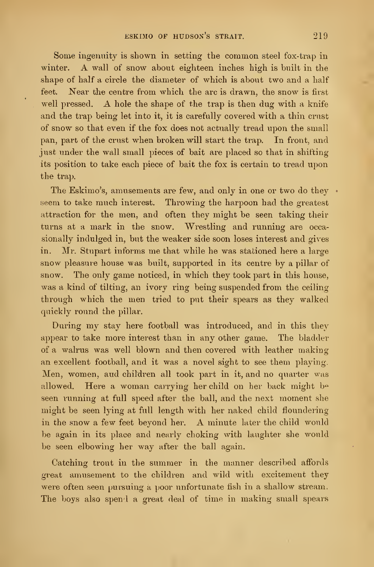Some ingenuity is shown in setting the common steel fox-trap in winter. A wall of snow about eighteen inches high is built in the shape of half a circle the diameter of which is about two and a half feet. Kear the centre from which the arc is drawn, the snow is first well pressed. A hole the shape of the trap is then dug with a knife and the trap being let into it, it is carefully covered with a thin crust of snow so that even if the fox does not actually tread upon the small pan, part of the crust when broken will start the trap. In front, and just under the wall small pieces of bait are placed so that in shifting its position to take each piece of bait the fox is certain to tread upon the trap.

The Eskimo's, amusements are few, and only in one or two do they  $\cdot$ seem to take much interest. Throwing the harpoon had the greatest attraction for the men, and often they might be seen taking their turns at a mark in the snow. Wrestling and running are occa sionally indulged in, but the weaker side soon loses interest and gives in. Mr. Stupart informs me that while he was stationed here a large snow pleasure house was built, supported in its centre by a pillar of snow. The only game noticed, in which they took part in this house, was a kind of tilting, an ivory ring being suspended from the ceiling through which the men tried to put their spears as they walked quickly round the pillar.

During my stay here football was introduced, and in this they appear to take more interest than in any other game. The bladder of a walrus was well blown and then covered with leather making an excellent football, and it was a novel sight to see them playing. Men, women, aud children all took part in it, and no quarter was allowed. Here a woman carrying her child on her back might bo seen running at full speed after the ball, and the next moment she might be seen lying at full length with her naked child floundering in the snow <sup>a</sup> few feet beyond her. A minute later the child would be again in its place and nearly choking with laughter she would be seen elbowing her way after the ball again.

Catching trout in the summer in the manner described affords great amusement to the children and wild with excitement they were often seen pursuing a poor unfortunate fish in a shallow stream. The boys also spend a great deal of time in making small spears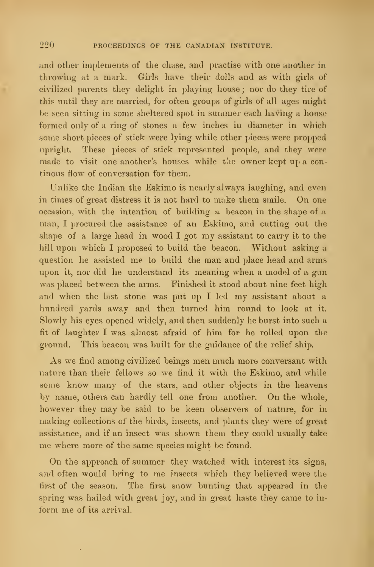and other implements of the chase, and practise with one another in throwing at a mark. Girls have their dolls and as with girls of civilized parents they delight in playing house ; nor do they tire of this until they are married, for often groups of girls of all ages might be seen sitting in some sheltered spot in summer each having <sup>a</sup> house formed only of a ring of stones a few inches in diameter in which some short pieces of stick were lying while other pieces were propped upright. These pieces of stick represented people, and they were made to visit one another's houses while the owner kept up a continous flow of conversation for them.

Unlike the Indian the Eskimo is nearly always laughing, and even in times of great distress it is not hard to make them smile. On one occasion, with the intention of building a beacon in the shape of a man, I procured the assistance of an Eskimo, and cutting out the shape of <sup>a</sup> large head in wood <sup>I</sup> got my assistant to carry it to the hill upon which I proposed to build the beacon. Without asking a question he assisted me to build the man and place head and arms upon it, nor did he understand its meaning when a model of a gun was placed between the arms. Finished it stood about nine feet high and when the last stone was put up <sup>I</sup> led my assistant about a hundred yards away and then turned him round to look at it. Slowly his eyes opened widely, and then suddenly he burst into such a fit of laughter I was almost afraid of him for he rolled upon the ground. This beacon was built for the guidance of the relief ship.

As we find among civilized beings men much more conversant with nature than their fellows so we find it with the Eskimo, and while some know many of the stars, and other objects in the heavens by name, others can hardly tell one from another. On the whole, however they may be said to be keen observers of nature, for in making collections of the birds, insects, and plants they were of great assistance, and if an insect was shown them they could usually take me where more of the same species might be found.

On the approach of summer they watched with interest its signs, and often would bring to me insects which they believed were the first of the season. The first snow bunting that appeared in the spring was hailed with great joy, and in great haste they came to inform me of its arrival.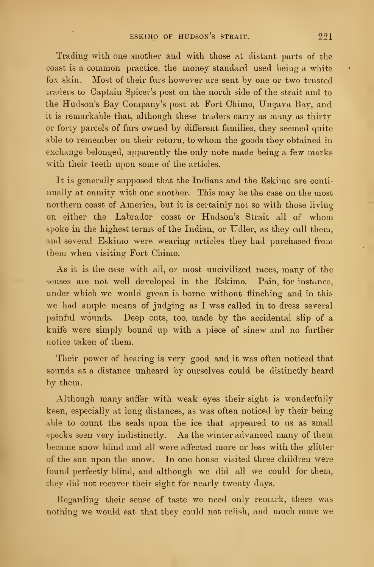Trading with one another and with those at distant parts of the coast is a common practice, the money standard used being <sup>a</sup> white fox skin. Most of their furs however are sent by one or two trusted traders to Captain Spicer's post on the north side of the strait and to the Hudson's Bay Company's post at Fort Chimo, Ungava Bay, and it is remarkable that, although these traders carry as many as thirty or forty parcels of furs owned by different families, they seemed quite able to remember on their return, to whom the goods they obtained in exchange belonged, apparently the only note made being a few marks with their teeth upon some of the articles.

It is generally supposed that the Indians and the Eskimo are conti nually at enmity with one another. This may be the case on the most northern coast of America, but it is certainly not so with those living on either the Labrador coast or Hudson's Strait all of whom spoke in the highest terms of the Indian, or Udler, as they call them, and several Eskimo were wearing articles they had purchased from them when visiting Fort Chimo.

As it is the case with all, or most uncivilized races, many of the senses are not well developed in the Eskimo. Pain, for instance, under which we would groan is borne without flinching and in this we had ample means of judging as I was called in to dress several painful wounds. Deep cuts, too, made by the accidental slip of a knife were simply bound up with a piece of sinew and no further notice taken of them.

Their power of hearing is very good and it was often noticed that sounds at a distance unheard by ourselves could be distinctly heard by them.

Although many suffer with weak eyes their sight is wonderfully keen, especially at long distances, as was often noticed by their being able to count the seals upon the ice that appeared to us as small specks seen very indistinctly. As the winter advanced many of them became snow blind and all were affected more or less with the glitter of the sun upon the snow. In one house visited three children were found perfectly blind, and although we did all we could for them, they did not recover their sight for nearly twenty days.

Regarding their sense of taste we need only remark, there was nothing we would eat that they could not relish, and much more we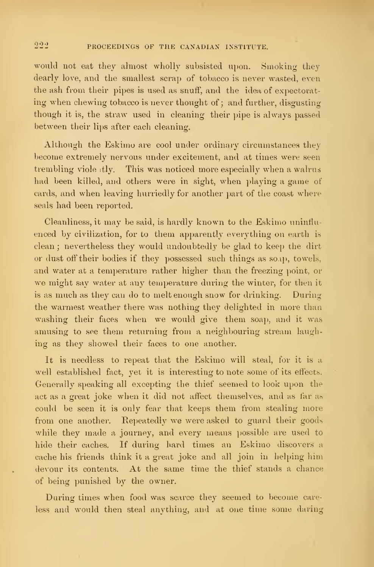would not eat they almost wholly subsisted upon. Smoking they dearly love, and the smallest scrap of tobacco is never wasted, even the ash from their pipes is used as snuff, and the idea of expectorating when chewing tobacco is never thought of; and further, disgusting though it is, the straw used in cleaning their pipe is always passed between their lips after each cleaning.

Although the Eskimo are cool under ordinary circumstances they become extremely nervous under excitement, and at times were seen trembling viole itly. This was noticed more especially when a walrus had been killed, and others were in sight, when playing a game of cards, and when leaving hurriedly for another part of the coast where seals had been reported.

Cleanliness, it may be said, is hardly known to the Eskimo unintlu enced by civilization, for to them apparently everything on earth is clean; nevertheless they would undoubtedly be glad to keep the dirt or dust off their bodies if they possessed such things as soap, towels, and water at a temperature rather higher than the freezing point, or we might say water at any temperature during the winter, for then it is as much as they can do to melt enough snow for drinking. During the warmest weather there was nothing they delighted in more than washing their faces when we would give them soap, and it was amusing to see them returning from a neighbouring stream laughing as they showed their faces to one another.

It is needless to repeat that the Eskimo will steal, for it is a well established fact, yet it is interesting to note some of its effects. Generally speaking all excepting the thief seemed to look upon the act as a great joke when it did not affect themselves, and as far as could be seen it is only fear that keeps them from stealing more from one another. Repeatedly we were asked to guard their goods while they made a journey, and every means possible are used to hide their caches. If during hard times an Eskimo discovers a cache his friends think it a great joke and all join in helping him devour its contents. At the same time the thief stands a chance of being punished by the owner.

During times when food was scarce they seemed to become careless and would then steal anything, and at one time some daring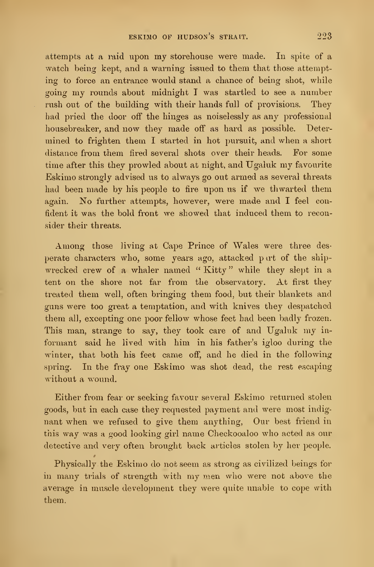attempts at <sup>a</sup> raid upon my storehouse were made. In spite of a watch being kept, and a warning issued to them that those attempting to force an entrance would stand a chance of being shot, while going my rounds about midnight <sup>I</sup> was startled to see <sup>a</sup> number rush out of the building with their hands full of provisions. They had pried the door off the hinges as noiselessly as any professional housebreaker, and now they made off as hard as possible. Deter mined to frighten them <sup>I</sup> started in hot pursuit, and when a short distance from them fired several shots over their heads. For some time after this they prowled about at night, and Ugaluk my favourite Eskimo strongly advised us to always go out armed as several threats had been made by his people to fire upon us if we thwarted them again. No further attempts, however, were made and  $I$  feel confident it was the bold front we showed that induced them to reconsider their threats.

Among those living at Cape Prince of Wales were three des perate characters who, some years ago, attacked part of the shipwrecked crew of a whaler named "Kitty" while they slept in a tent on the shore not far from the observatory. At first they treated them well, often bringing them food, but their blankets and guns were too great a temptation, and with knives they despatched them all, excepting one poor fellow whose feet had been badly frozen. This man, strange to say, they took care of and Ugaluk my in formant said he lived with him in his father's igloo during the winter, that both his feet came off, and he died in the following spring. In the fray one Eskimo was shot dead, the rest escaping without a wound.

Either from fear or seeking favour several Eskimo returned stolen goods, but in each case they requested payment and were most indignant when we refused to give them anything. Our best friend in this way was <sup>a</sup> good looking girl name Checkooaloo who acted as our detective and very often brought back articles stolen by her people.

Physically. the Eskimo do not seem as strong as civilized beings for in many trials of strength with my men who were not above the average in muscle development they were quite unable to cope with them.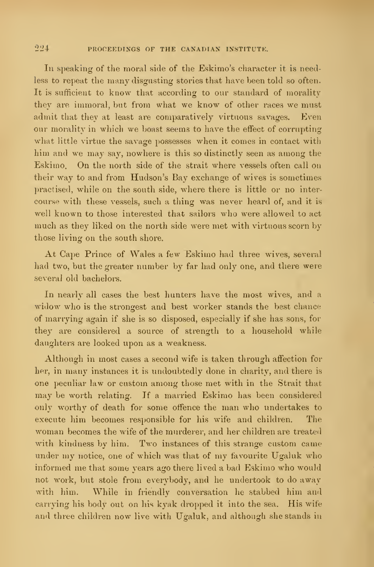In speaking of the moral side of the Eskimo's character it is needless to repeat the many disgusting stories that have been told so often. It is sufficient to know that according to our standard of morality they are immoral, but from what we know of other races we must admit that they at least are comparatively virtuous savages. Even our morality in which we boast seems to have the effect of corrupting what little virtue the savage possesses when it comes in contact with him and we may say, nowhere is this so distinctly seen as among the Eskimo. On the north side of the strait where vessels often call on their way to and from Hudson's Bay exchange of wives is sometimes practised, while on the south side, where there is little or no inter course with these vessels, such a thing was never heard of, and it is well known to those interested that sailors who were allowed to act much as they liked on the north side were met with virtuous scorn by those living on the south shore.

At Cape Prince of Wales a few Eskimo had three wives, several had two, but the greater number by far had only one, and there were several old bachelors.

In nearly all cases the best hunters have the most wives, and a widow who is the strongest and best worker stands the best chance of marrying again if she is so disposed, especially if she has sons, for they are considered a source of strength to a household while daughters are looked upon as a weakness.

Although in most cases a second wife is taken through affection for her, in many instances it is undoubtedly done in charity, and there is one peculiar law or custom among those met with in the Strait that may be worth relating. If <sup>a</sup> married Eskimo has been considered only worthy of death for some offence the man who undertakes to execute him becomes responsible for his wife and children. The woman becomes the wife of the murderer, and her children are treated with kindness by him. Two instances of this strange custom came under my notice, one of which was that of my favourite Ugaluk who informed me that some years ago there lived a bad Eskimo who would not work, but stole from everybody, and he undertook to do away with him. While in friendly conversation he stabbed him and carrying his body out on his kyak dropped it into the sea. His wife and three children now live with Ugaluk, and although she stands in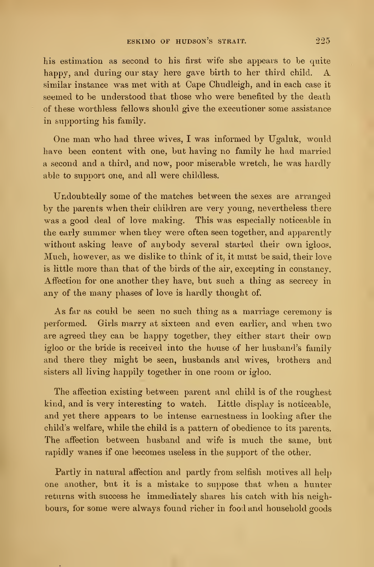his estimation as second to his first wife she appears to be quite happy, and during our stay here gave birth to her third child. A similar instance was met with at Cape Chudleigh, and in each case it seemed to be understood that those who were benefited by the death of these worthless fellows should give the executioner some assistance in supporting his family.

One man who had three wives, I was informed by Ugaluk, would have been content with one, but having no family he had married a second and a third, and now, poor miserable wretch, he was hardly able to supoort one, and all were childless.

Undoubtedly some of the matches between the sexes are arranged by the parents when their children are very young, nevertheless there was a good deal of love making. This was especially noticeable in the early summer when they were often seen together, and apparently without asking leave of anybody several started their own igloos. Much, however, as we dislike to think of it, it must be said, their love is little more than that of the birds of the air, excepting in constancy. Affection for one another they have, but such a thing as secrecy in any of the many phases of love is hardly thought of.

As far as could be seen no such thing as a marriage ceremony is performed. Girls marry at sixteen and even earlier, and when two are agreed they can be happy together, they either start their own igloo or the bride is received into the house of her husband's family and there they might be seen, husbands and wives, brothers and sisters all living happily together in one room or igloo.

The affection existing between parent and child is of the roughest kind, and is very interesting to watch. Little display is noticeable, and yet there appears to be intense earnestness in looking after the child's welfare, while the child is a pattern of obedience to its parents. The affection between husband and wife is much the same, but rapidly wanes if one becomes useless in the support of the other.

Partly in natural affection and partly from selfish motives all help one another, but it is a mistake to suppose that when a hunter returns with success he immediately shares his catch with his neighbours, for some were always found richer in food and household goods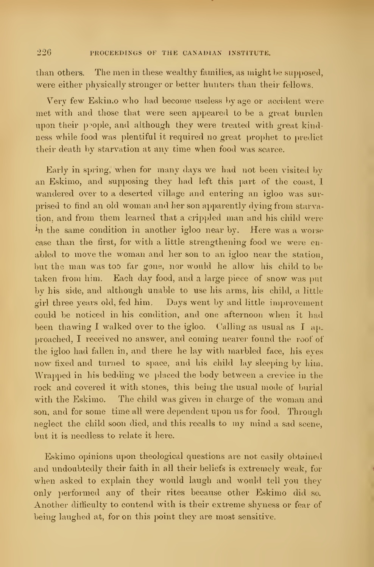than others. The men in these wealthy families, as might be supposed, were either physically stronger or better hunters than their fellows.

Very few Eskiu.o who had become useless by age or accident were met with and those that were seen appeared to be a great burden upon their people, and although they were treated with great kindness while food was plentiful it required no great prophet to predict their death by starvation at any time when food was scarce.

Early in spring, when for many days we had not been visited by an Eskimo, and supposing they had left this part of the coast, <sup>I</sup> wandered over to a deserted village and entering an igloo was sur prised to find an old woman and her son apparently dying from starvation, and from them learned that a crippled man and his child were  $i_n$  the same condition in another igloo near by. Here was a worse case than the first, for with a little strengthening food we were enabled to move the woman and her son to an igloo near the station, but the man was too far gone, nor would he allow his child to be taken from him. Each day food, and a large piece of snow was put by his side, and although unable to use his arms, his child, a little girl three years old, fed him. Days went by and little improvement could be noticed in his condition, and one afternoon when it had been thawing I walked over to the igloo. Calling as usual as I approached, I received no answer, and coming nearer found the roof of the igloo had fallen in, and there he lay with marbled face, his eyes now fixed and turned to space, and his child lay sleeping by him. Wrapped in his bedding we placed the body between a crevice in the rock and covered it with stones, this being the usual mode of burial with the Eskimo. The child was given in charge of the woman and son, and for some time all were dependent upon us for food. Through neglect the child soon died, and this recalls to my mind a sad scene, but it is needless to relate it here.

Eskimo opinions upon theological questions are not easily obtained and undoubtedly their faith in all their beliefs is extremely weak, for when asked to explain they would laugh and would tell you they only performed any of their rites because other Eskimo did so. Another difficulty to contend with is their extreme shyness or fear of being laughed at, for on this point they are most sensitive.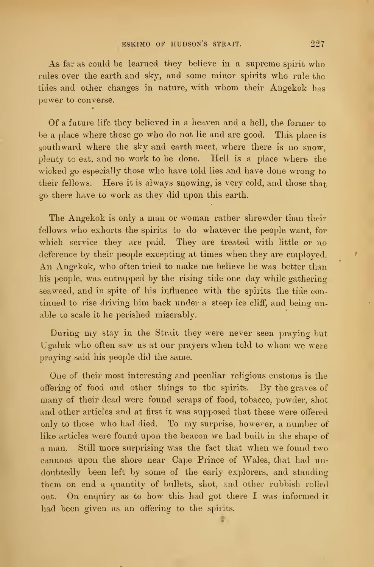As far as could be learned they believe in a supreme spirit who rules over the earth and sky, and some minor spirits who rule the tides and other changes in nature, with whom their Angekok has power to converse.

Of a future life they believed in a heaven and a hell, the former to be a place where those go who do not lie and are good. This place is southward where the sky and earth meet, where there is no snow, plenty to eat, and no work to be done. Hell is a place where the wicked go especially those who have told lies and have done wrong to their fellows. Here it is always snowing, is very cold, and those that go there have to work as they did upon this earth.

The Angekok is only a man or woman rather shrewder than their fellows who exhorts the spirits to do whatever the people want, for which service they are paid. They are treated with little or no deference by their people excepting at times when they are employed. An Angekok, who often tried to make me believe he was better than his people, was entrapped by the rising tide one day while gathering seaweed, and in spite of his influence with the spirits the tide con tinued to rise driving him back under a steep ice cliff, and being unable to scale it he perished miserably.

During my stay in the Strait they were never seen praying but Ugaluk who often saw us at our prayers when told to whom we were praying said his people did the same.

One of their most interesting and peculiar religious customs is the offering of food and other things to the spirits. By the graves of many of their dead were found scraps of food, tobacco, powder, shot and other articles and at first it was supposed that these were offered only to those who had died. To my surprise, however, a number of like articles were found upon the beacon we had built in the shape of a man. Still more surprising was the fact that when we found two cannons upon the shore near Cape Prince of Wales, that had un doubtedly been left by some of the early explorers, and standing them on end a quantity of bullets, shot, and other rubbish rolled out. On enquiry as to how this had got there <sup>I</sup> was informed it had been given as an offering to the spirits.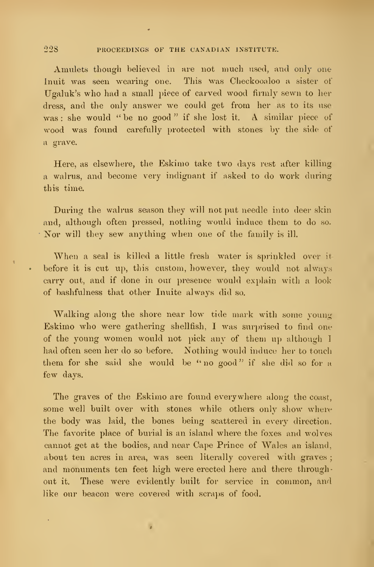Amulets though believed in are not much used, and only one Inuit was seen wearing one. This was Checkooaloo a sister of Ugaluk's who had a small piece of carved wood firmly sewn to her dress, and the only answer we could get from her as to its use was : she would " be no good" if she lost it. A similar piece of wood was found carefully protected with stones by the side of a grave.

Here, as elsewhere, the Eskimo take two days rest after killing a walrus, and become very indignant if asked to do work during this time.

During the walrus season they will not put needle into deer skin and, although often pressed, nothing would induce them to do so. Nor will they sew anything when one of the family is ill.

When a seal is killed a little fresh water is sprinkled over it before it is cut up, this custom, however, they would not always carry out, and if done in our presence would explain with a look of bashfulness that other Inuite always did so.

Walking along the shore near low tide mark with some young Eskimo who were gathering shellfish, I was surprised to find one of the young women would not pick any of them up although <sup>1</sup> had often seen her do so before. Nothing would induce her to touch them for she said she would be "no good" if she did so for a few days.

The graves of the Eskimo are found everywhere along the coast, some well built over with stones while others only show where the body was laid, the bones being scattered in every direction. The favorite place of burial is an island where the foxes and wolves cannot get at the bodies, and near Cape Prince of Wales an island, about ten acres in area, was seen literally covered with graves; and monuments ten feet high were erected here and there throughout it. These were evidently built for service in common, and like our beacon were covered with scraps of food.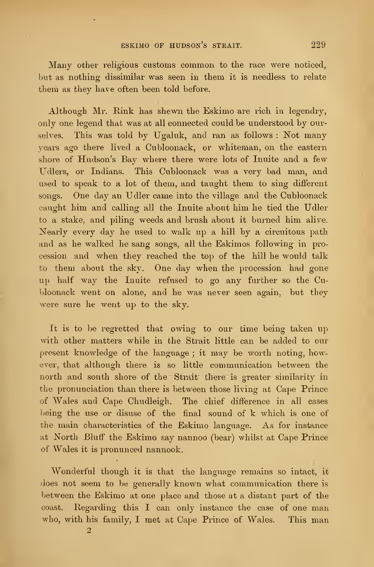Many other religious customs common to the race were noticed, but as nothing dissimilar was seen in them it is needless to relate them as they have often been told before.

Although Mr. Rink has shewn the Eskimo are rich in legendry, only one legend that was at all connected could be understood by ourselves. This was told by Ugaluk, and ran as follows : Not many years ago there lived a Cubloonack, or whiteman, on the eastern shore of Hudson's Bay where there were lots of Inuite and a few Udlers, or Indians. This Cubloonack was a very bad man, and used to speak to a lot of them, and taught them to sing different songs. One day an Udler came into the village and the Cubloonack caught him and calling all the Inuite about him he tied the Udler to a stake, and piling weeds and brush about it burned him alive. Nearly every day he used to walk up a hill by a circuitous path and as he walked he sang songs, all the Eskimos following in procession and when they reached the top of the hill he would talk to them about the sky. One day when the procession had gone up half way the Inuite refused to go any further so the Cubloonack went on alone, and he was never seen again, but they were sure he went up to the sky.

It is to be regretted that owing to our time being taken up with other matters while in the Strait little can be added to our present knowledge of the language ; it may be worth noting, however, that although there is so little communication between the north and south shore of the Strait' there is greater similarity in the pronunciation than there is between those living at Cape Prince of Wales and Cape Chudleigh. The chief difference in all cases being the use or disuse of the final sound of k which is one of the main characteristics of the Eskimo language. As for instance at North Bluff the Eskimo say nannoo (bear) whilst at Cape Prince of Wales it is pronunced nannook.

Wonderful though it is that the language remains so intact, it does not seem to be generally known what communication there is between the Eskimo at one place and those at a distant part of the coast. Regarding this <sup>I</sup> can only instance the case of one man who, with his family, <sup>I</sup> met at Cape Prince of Wales. This man